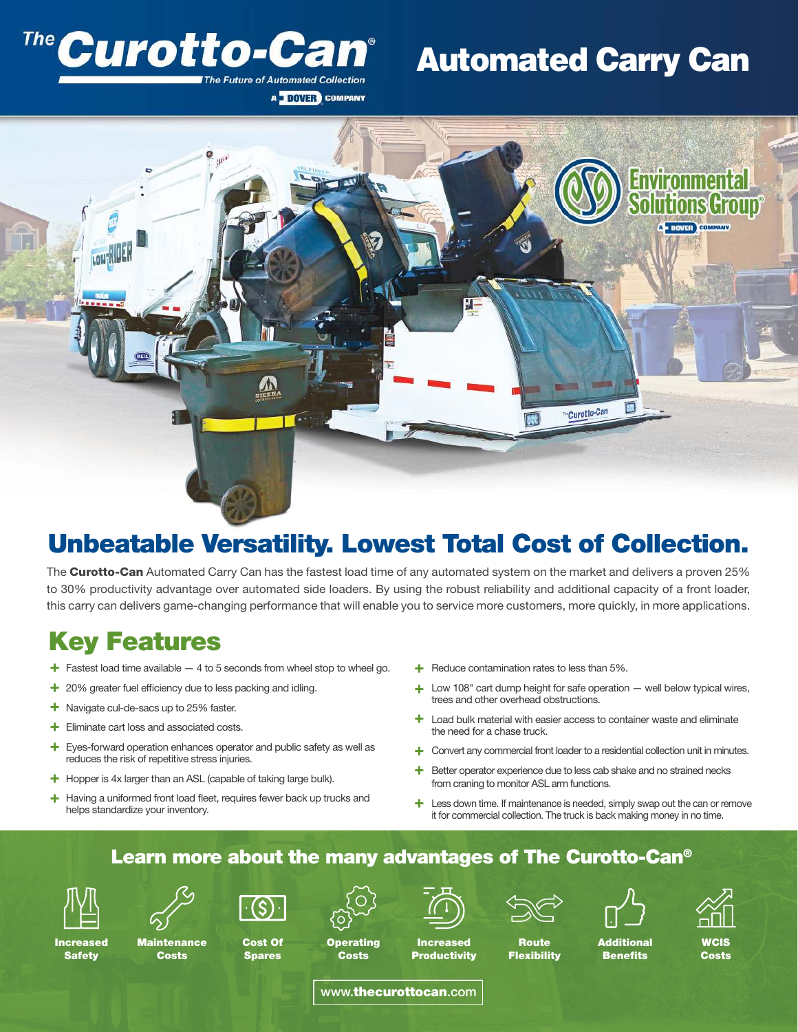### Curotto-Car The Future of Automated Collection

## Automated Carry Can



A DOVER COMPANY

## Unbeatable Versatility. Lowest Total Cost of Collection.

The **Curotto-Can** Automated Carry Can has the fastest load time of any automated system on the market and delivers a proven 25% to 30% productivity advantage over automated side loaders. By using the robust reliability and additional capacity of a front loader, this carry can delivers game-changing performance that will enable you to service more customers, more quickly, in more applications.

## Key Features

- + Fastest load time available 4 to 5 seconds from wheel stop to wheel go. + Reduce contamination rates to less than 5%.
- + 20% greater fuel efficiency due to less packing and idling.
- + Navigate cul-de-sacs up to 25% faster.
- + Eliminate cart loss and associated costs.
- + Eyes-forward operation enhances operator and public safety as well as reduces the risk of repetitive stress injuries.
- + Hopper is 4x larger than an ASL (capable of taking large bulk).
- + Having a uniformed front load fleet, requires fewer back up trucks and helps standardize your inventory.
- $\div$  Reduce contamination rates to less than 5%.
- Low 108" cart dump height for safe operation well below typical wires, trees and other overhead obstructions. +
- $+$  Load bulk material with easier access to container waste and eliminate the need for a chase truck.
- + Convert any commercial front loader to a residential collection unit in minutes.
- Better operator experience due to less cab shake and no strained necks from craning to monitor ASL arm functions. +
- $+$  Less down time. If maintenance is needed, simply swap out the can or remove it for commercial collection. The truck is back making money in no time.

#### Learn more about the many advantages of The Curotto-Can®



Increased **Safety** 



**Costs** 



**Spares** 

**Operating Costs** 



Increased **Productivity Flexibility** 

Route



**Benefits** 



WCIS Costs

www.thecurottocan.com